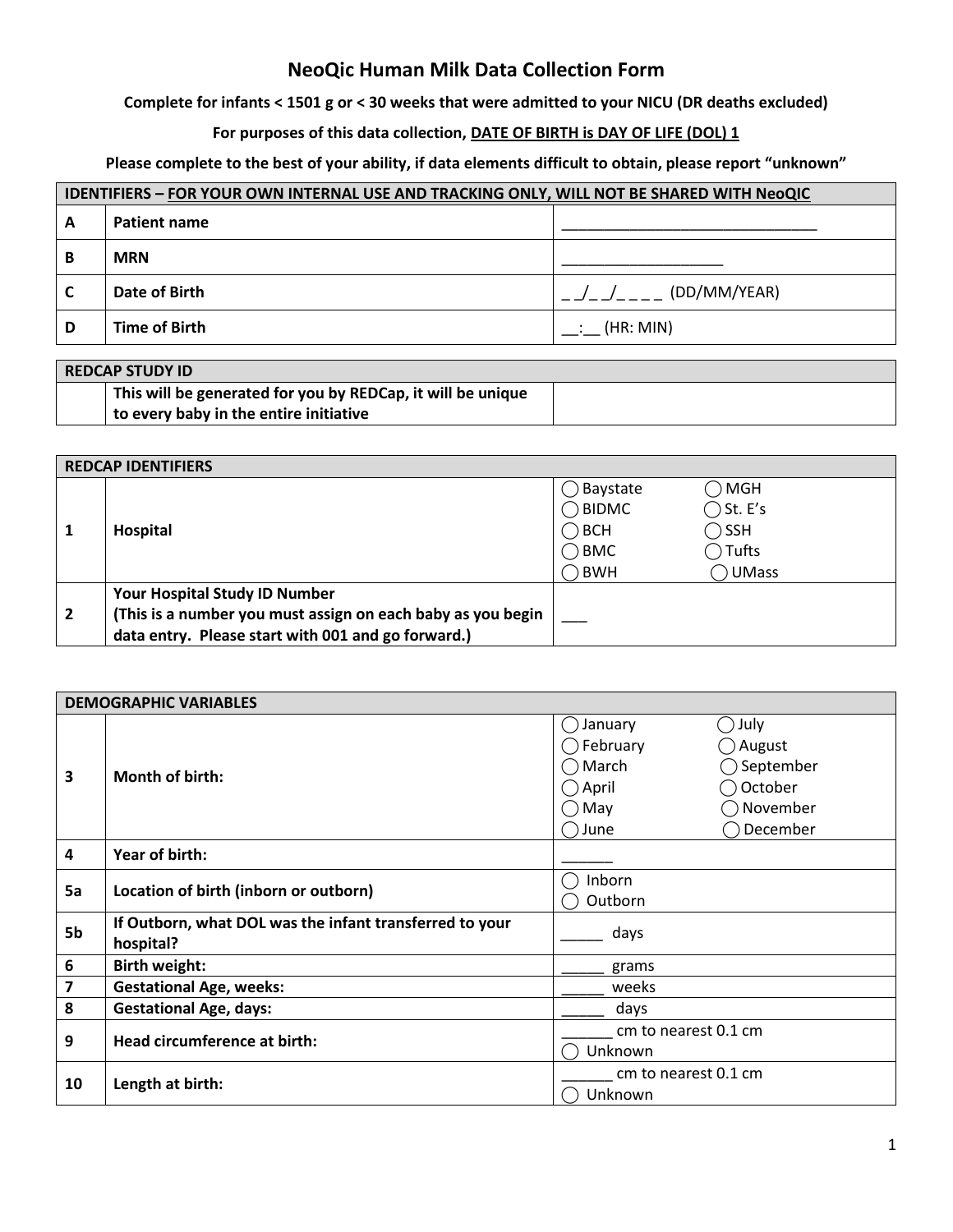# **NeoQic Human Milk Data Collection Form**

# **Complete for infants < 1501 g or < 30 weeks that were admitted to your NICU (DR deaths excluded)**

# For purposes of this data collection, **DATE OF BIRTH is DAY OF LIFE (DOL) 1**

# **Please complete to the best of your ability, if data elements difficult to obtain, please report "unknown"**

| <b>IDENTIFIERS - FOR YOUR OWN INTERNAL USE AND TRACKING ONLY, WILL NOT BE SHARED WITH NeoQIC</b> |                     |              |
|--------------------------------------------------------------------------------------------------|---------------------|--------------|
| А                                                                                                | <b>Patient name</b> |              |
| В                                                                                                | <b>MRN</b>          |              |
|                                                                                                  | Date of Birth       | (DD/MM/YEAR) |
| D                                                                                                | Time of Birth       | (HR: MIN)    |

| <b>REDCAP STUDY ID</b> |                                                             |  |
|------------------------|-------------------------------------------------------------|--|
|                        | This will be generated for you by REDCap, it will be unique |  |
|                        | to every baby in the entire initiative                      |  |

| <b>REDCAP IDENTIFIERS</b> |                                                             |          |                    |
|---------------------------|-------------------------------------------------------------|----------|--------------------|
|                           |                                                             | Baystate | $\bigcirc$ MgH     |
|                           | Hospital                                                    | D BIDMC  | $\bigcirc$ St. E's |
|                           |                                                             | BCH      | $\bigcirc$ SSH     |
|                           |                                                             | ) BMC    | $\bigcap$ Tufts    |
|                           |                                                             | ) BWH    | O UMass            |
|                           | Your Hospital Study ID Number                               |          |                    |
| $\overline{2}$            | (This is a number you must assign on each baby as you begin |          |                    |
|                           | data entry. Please start with 001 and go forward.)          |          |                    |

|                         | <b>DEMOGRAPHIC VARIABLES</b>                                         |                                                                                                                                                                                  |  |
|-------------------------|----------------------------------------------------------------------|----------------------------------------------------------------------------------------------------------------------------------------------------------------------------------|--|
| $\overline{\mathbf{3}}$ | Month of birth:                                                      | January<br>◯ July<br>$($ )<br>$\bigcirc$ February<br>◯ August<br>$\bigcap$ March<br>$\bigcirc$ September<br>October<br>$\bigcirc$ April<br>) November<br>May<br>December<br>June |  |
| 4                       | Year of birth:                                                       |                                                                                                                                                                                  |  |
| 5a                      | Location of birth (inborn or outborn)                                | Inborn<br>Outborn                                                                                                                                                                |  |
| 5b                      | If Outborn, what DOL was the infant transferred to your<br>hospital? | days                                                                                                                                                                             |  |
| 6                       | <b>Birth weight:</b>                                                 | grams                                                                                                                                                                            |  |
| 7                       | <b>Gestational Age, weeks:</b>                                       | weeks                                                                                                                                                                            |  |
| 8                       | <b>Gestational Age, days:</b>                                        | days                                                                                                                                                                             |  |
| 9                       | Head circumference at birth:                                         | cm to nearest 0.1 cm<br>Unknown                                                                                                                                                  |  |
| 10                      | Length at birth:                                                     | cm to nearest 0.1 cm<br>Unknown                                                                                                                                                  |  |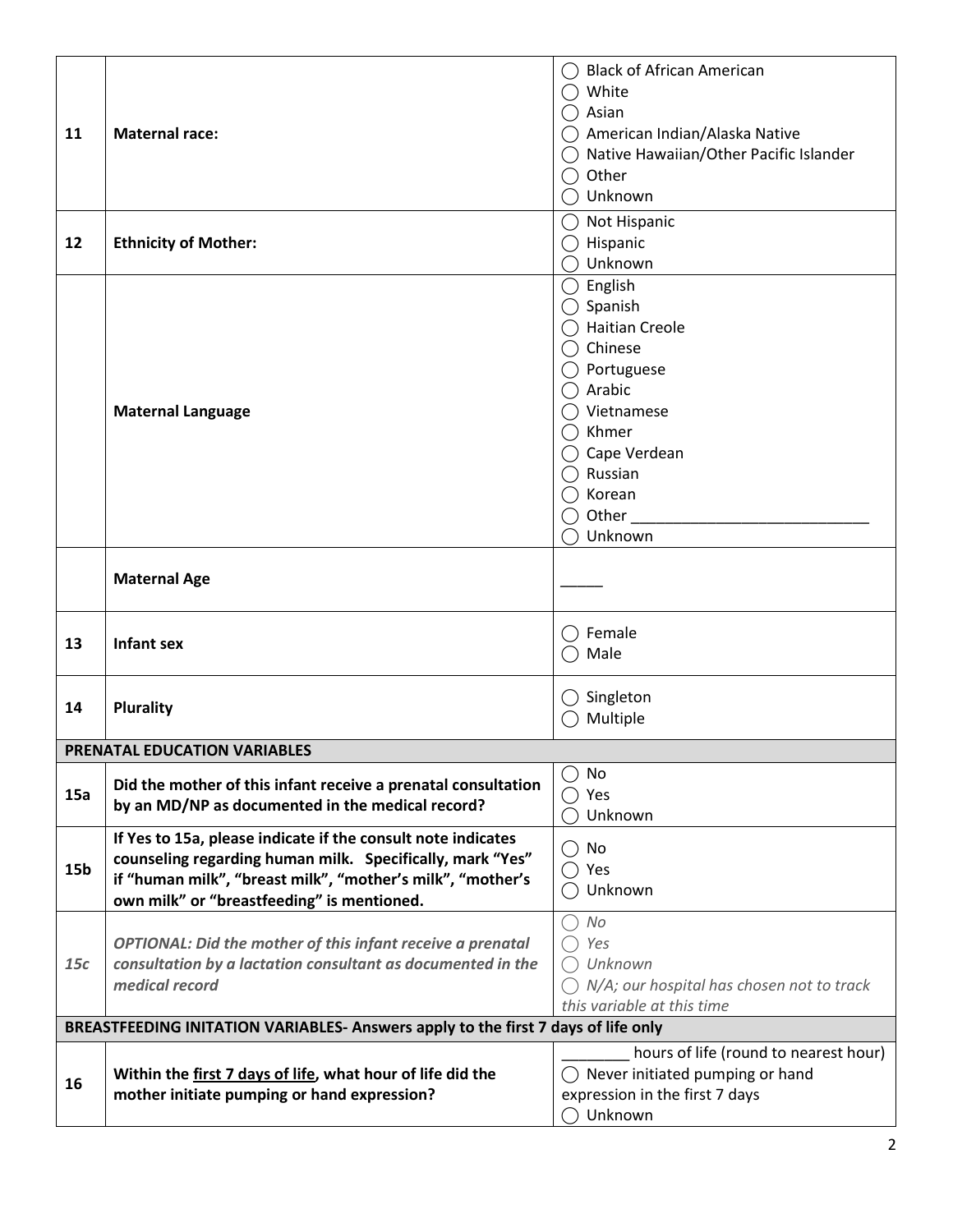|                 |                                                                                   | <b>Black of African American</b>                     |
|-----------------|-----------------------------------------------------------------------------------|------------------------------------------------------|
|                 |                                                                                   | White                                                |
|                 |                                                                                   | ◯ Asian                                              |
| 11              | <b>Maternal race:</b>                                                             | ◯ American Indian/Alaska Native                      |
|                 |                                                                                   | ◯ Native Hawaiian/Other Pacific Islander             |
|                 |                                                                                   | Other                                                |
|                 |                                                                                   | Unknown                                              |
|                 |                                                                                   | Not Hispanic                                         |
| 12              | <b>Ethnicity of Mother:</b>                                                       | $\bigcirc$ Hispanic                                  |
|                 |                                                                                   | Unknown                                              |
|                 |                                                                                   | $\bigcirc$ English                                   |
|                 |                                                                                   | $\bigcirc$ Spanish                                   |
|                 |                                                                                   | ◯ Haitian Creole                                     |
|                 |                                                                                   | $\bigcap$ Chinese                                    |
|                 |                                                                                   | ◯ Portuguese                                         |
|                 |                                                                                   | $\bigcap$ Arabic                                     |
|                 | <b>Maternal Language</b>                                                          | $\bigcap$ Vietnamese                                 |
|                 |                                                                                   | $\bigcap$ Khmer                                      |
|                 |                                                                                   | $\bigcirc$ Cape Verdean                              |
|                 |                                                                                   | $\bigcap$ Russian                                    |
|                 |                                                                                   | ◯ Korean                                             |
|                 |                                                                                   | $\bigcirc$ Other $\_$                                |
|                 |                                                                                   | Unknown                                              |
|                 |                                                                                   |                                                      |
|                 | <b>Maternal Age</b>                                                               |                                                      |
|                 |                                                                                   |                                                      |
|                 |                                                                                   |                                                      |
| 13              | <b>Infant sex</b>                                                                 | Female                                               |
|                 |                                                                                   | Male                                                 |
|                 |                                                                                   |                                                      |
| 14              | <b>Plurality</b>                                                                  | $\bigcirc$ Singleton                                 |
|                 |                                                                                   | Multiple                                             |
|                 | PRENATAL EDUCATION VARIABLES                                                      |                                                      |
|                 |                                                                                   | No                                                   |
| 15a             | Did the mother of this infant receive a prenatal consultation                     | Yes<br>$($ )                                         |
|                 | by an MD/NP as documented in the medical record?                                  | Unknown                                              |
|                 | If Yes to 15a, please indicate if the consult note indicates                      |                                                      |
|                 | counseling regarding human milk. Specifically, mark "Yes"                         | No                                                   |
| 15 <sub>b</sub> | if "human milk", "breast milk", "mother's milk", "mother's                        | $\bigcap$ Yes                                        |
|                 | own milk" or "breastfeeding" is mentioned.                                        | Unknown                                              |
|                 |                                                                                   | No                                                   |
|                 | <b>OPTIONAL: Did the mother of this infant receive a prenatal</b>                 | Yes                                                  |
| 15c             | consultation by a lactation consultant as documented in the                       | $\bigcap$ Unknown                                    |
|                 | medical record                                                                    | $\bigcap N/A$ ; our hospital has chosen not to track |
|                 |                                                                                   | this variable at this time                           |
|                 | BREASTFEEDING INITATION VARIABLES- Answers apply to the first 7 days of life only |                                                      |
|                 |                                                                                   | hours of life (round to nearest hour)                |
|                 | Within the first 7 days of life, what hour of life did the                        | $\bigcirc$ Never initiated pumping or hand           |
| 16              | mother initiate pumping or hand expression?                                       | expression in the first 7 days                       |
|                 |                                                                                   | Unknown                                              |
|                 |                                                                                   |                                                      |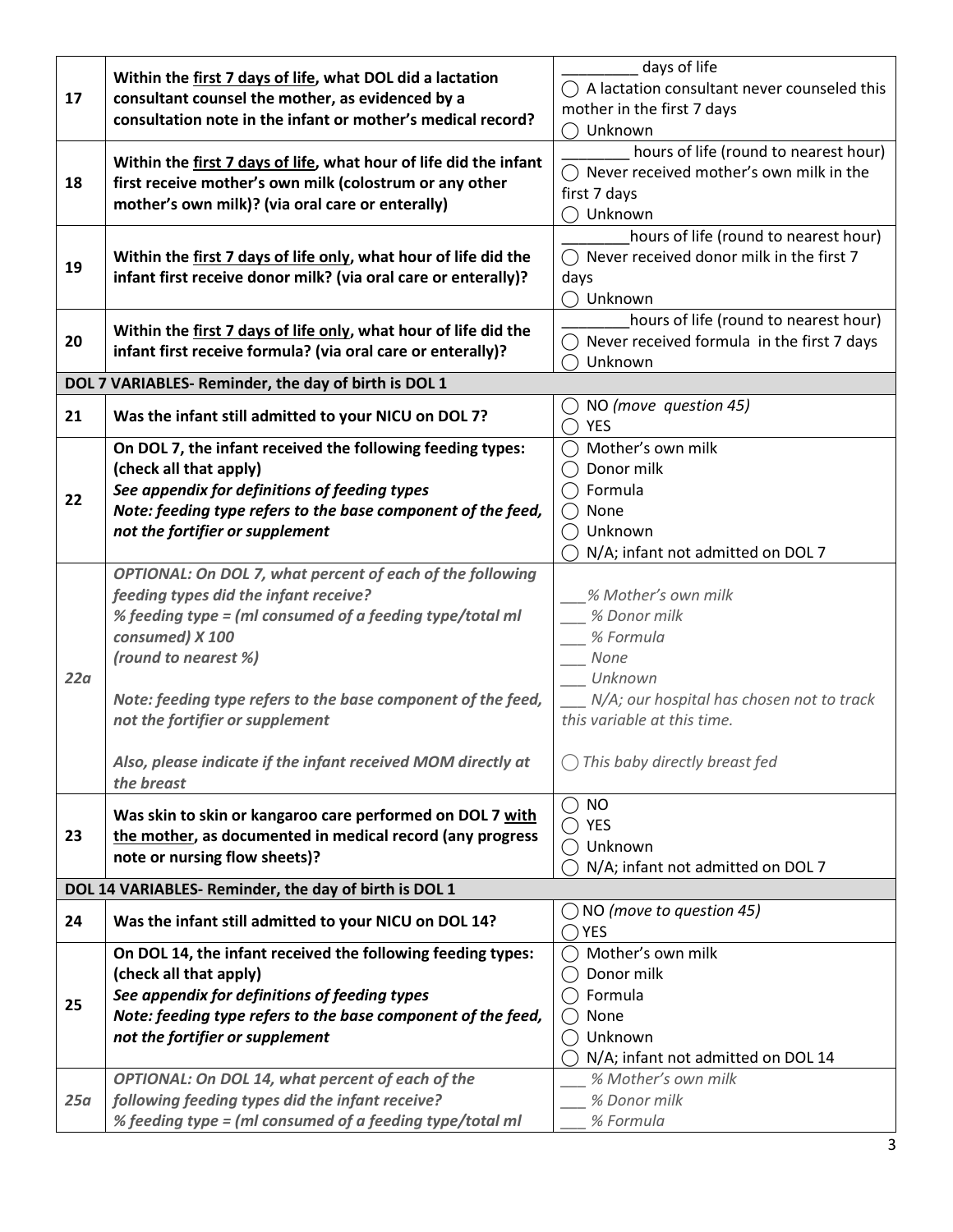| 17  | Within the first 7 days of life, what DOL did a lactation<br>consultant counsel the mother, as evidenced by a<br>consultation note in the infant or mother's medical record? | days of life                                          |
|-----|------------------------------------------------------------------------------------------------------------------------------------------------------------------------------|-------------------------------------------------------|
|     |                                                                                                                                                                              | () A lactation consultant never counseled this        |
|     |                                                                                                                                                                              | mother in the first 7 days                            |
|     |                                                                                                                                                                              | Unknown                                               |
|     |                                                                                                                                                                              | hours of life (round to nearest hour)                 |
|     | Within the first 7 days of life, what hour of life did the infant                                                                                                            | $\bigcap$ Never received mother's own milk in the     |
| 18  | first receive mother's own milk (colostrum or any other<br>mother's own milk)? (via oral care or enterally)                                                                  | first 7 days                                          |
|     |                                                                                                                                                                              |                                                       |
|     |                                                                                                                                                                              | Unknown                                               |
|     |                                                                                                                                                                              | hours of life (round to nearest hour)                 |
| 19  | Within the first 7 days of life only, what hour of life did the                                                                                                              | $\bigcap$ Never received donor milk in the first 7    |
|     | infant first receive donor milk? (via oral care or enterally)?                                                                                                               | days                                                  |
|     |                                                                                                                                                                              | Unknown                                               |
|     |                                                                                                                                                                              | hours of life (round to nearest hour)                 |
| 20  | Within the first 7 days of life only, what hour of life did the                                                                                                              | $\bigcirc$ Never received formula in the first 7 days |
|     | infant first receive formula? (via oral care or enterally)?                                                                                                                  | Unknown                                               |
|     | DOL 7 VARIABLES- Reminder, the day of birth is DOL 1                                                                                                                         |                                                       |
|     |                                                                                                                                                                              |                                                       |
| 21  | Was the infant still admitted to your NICU on DOL 7?                                                                                                                         | $\bigcirc$ NO (move question 45)                      |
|     |                                                                                                                                                                              | YES                                                   |
|     | On DOL 7, the infant received the following feeding types:                                                                                                                   | ◯ Mother's own milk                                   |
|     | (check all that apply)                                                                                                                                                       | Donor milk                                            |
|     | See appendix for definitions of feeding types                                                                                                                                | $\bigcap$ Formula                                     |
| 22  | Note: feeding type refers to the base component of the feed,                                                                                                                 | None<br>$($ )                                         |
|     | not the fortifier or supplement                                                                                                                                              | Unknown                                               |
|     |                                                                                                                                                                              | N/A; infant not admitted on DOL 7                     |
|     | OPTIONAL: On DOL 7, what percent of each of the following                                                                                                                    |                                                       |
|     | feeding types did the infant receive?                                                                                                                                        | % Mother's own milk                                   |
|     |                                                                                                                                                                              |                                                       |
|     | % feeding type = (ml consumed of a feeding type/total ml                                                                                                                     | % Donor milk                                          |
|     | consumed) X 100                                                                                                                                                              | % Formula                                             |
|     | (round to nearest %)                                                                                                                                                         | None                                                  |
| 22a |                                                                                                                                                                              | Unknown                                               |
|     | Note: feeding type refers to the base component of the feed,                                                                                                                 | N/A; our hospital has chosen not to track             |
|     | not the fortifier or supplement                                                                                                                                              | this variable at this time.                           |
|     |                                                                                                                                                                              |                                                       |
|     | Also, please indicate if the infant received MOM directly at                                                                                                                 | This baby directly breast fed                         |
|     | the breast                                                                                                                                                                   |                                                       |
|     |                                                                                                                                                                              | <b>NO</b><br>( )                                      |
|     | Was skin to skin or kangaroo care performed on DOL 7 with                                                                                                                    | <b>YES</b>                                            |
| 23  | the mother, as documented in medical record (any progress                                                                                                                    | Unknown                                               |
|     | note or nursing flow sheets)?                                                                                                                                                |                                                       |
|     |                                                                                                                                                                              | N/A; infant not admitted on DOL 7                     |
|     | DOL 14 VARIABLES- Reminder, the day of birth is DOL 1                                                                                                                        |                                                       |
| 24  | Was the infant still admitted to your NICU on DOL 14?                                                                                                                        | $\bigcirc$ NO (move to question 45)                   |
|     |                                                                                                                                                                              | <b>YES</b>                                            |
|     | On DOL 14, the infant received the following feeding types:                                                                                                                  | Mother's own milk                                     |
|     | (check all that apply)                                                                                                                                                       | Donor milk                                            |
| 25  | See appendix for definitions of feeding types                                                                                                                                | Formula                                               |
|     | Note: feeding type refers to the base component of the feed,                                                                                                                 | None                                                  |
|     | not the fortifier or supplement                                                                                                                                              | Unknown                                               |
|     |                                                                                                                                                                              |                                                       |
|     |                                                                                                                                                                              | N/A; infant not admitted on DOL 14                    |
|     | OPTIONAL: On DOL 14, what percent of each of the                                                                                                                             | % Mother's own milk                                   |
| 25a | following feeding types did the infant receive?                                                                                                                              | % Donor milk                                          |
|     | % feeding type = (ml consumed of a feeding type/total ml                                                                                                                     | % Formula                                             |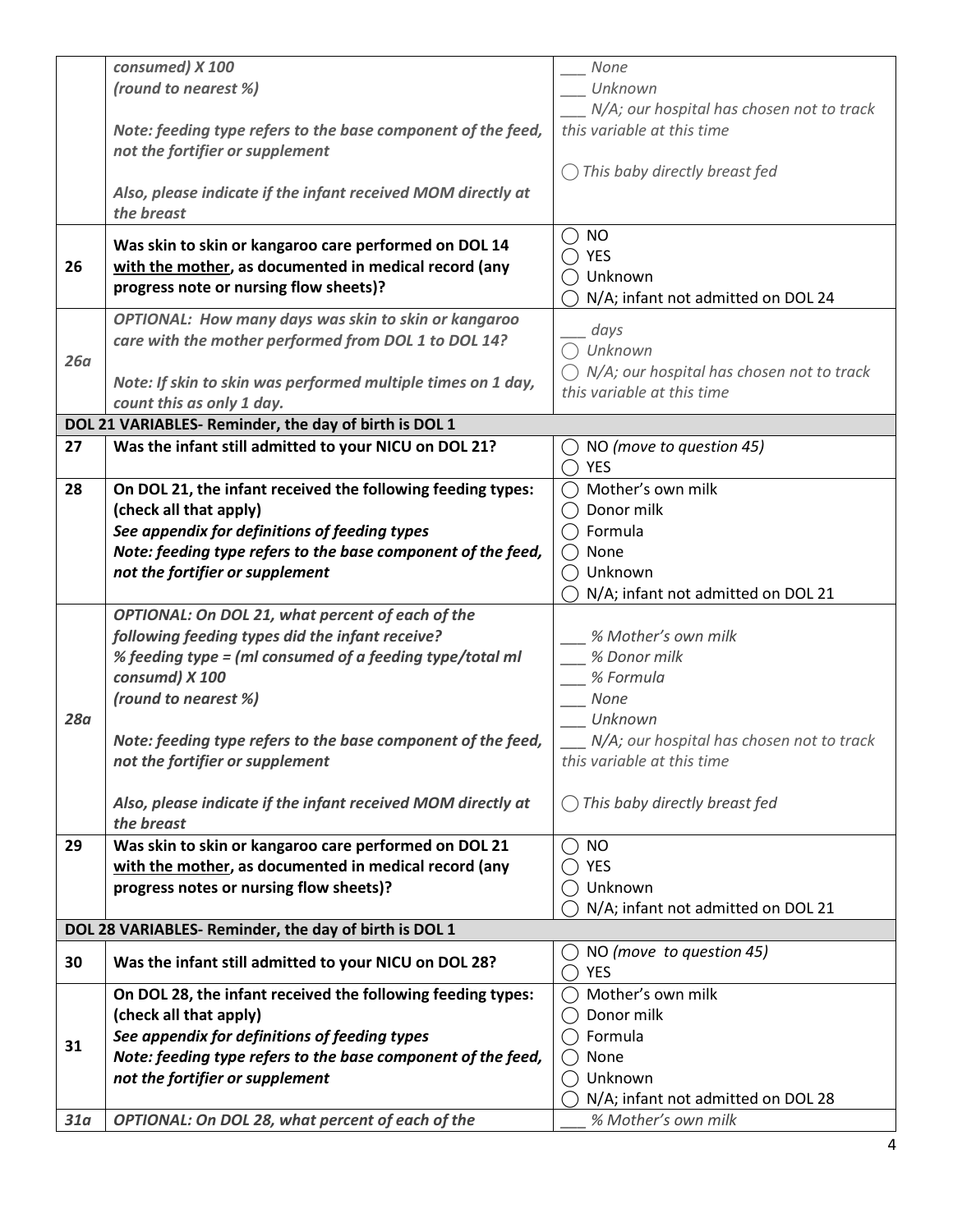|            | consumed) X 100                                              | None                                                 |
|------------|--------------------------------------------------------------|------------------------------------------------------|
|            | (round to nearest %)                                         | Unknown                                              |
|            |                                                              | N/A; our hospital has chosen not to track            |
|            | Note: feeding type refers to the base component of the feed, | this variable at this time                           |
|            | not the fortifier or supplement                              |                                                      |
|            |                                                              |                                                      |
|            |                                                              | This baby directly breast fed                        |
|            | Also, please indicate if the infant received MOM directly at |                                                      |
|            | the breast                                                   |                                                      |
|            |                                                              | $\bigcirc$ NO                                        |
|            | Was skin to skin or kangaroo care performed on DOL 14        | YES                                                  |
| 26         | with the mother, as documented in medical record (any        |                                                      |
|            | progress note or nursing flow sheets)?                       | Unknown                                              |
|            |                                                              | N/A; infant not admitted on DOL 24                   |
|            | OPTIONAL: How many days was skin to skin or kangaroo         |                                                      |
|            | care with the mother performed from DOL 1 to DOL 14?         | days                                                 |
| 26a        |                                                              | Unknown                                              |
|            |                                                              | $\bigcirc$ N/A; our hospital has chosen not to track |
|            | Note: If skin to skin was performed multiple times on 1 day, | this variable at this time                           |
|            | count this as only 1 day.                                    |                                                      |
|            | DOL 21 VARIABLES- Reminder, the day of birth is DOL 1        |                                                      |
| 27         | Was the infant still admitted to your NICU on DOL 21?        | NO (move to question 45)                             |
|            |                                                              | YES                                                  |
| 28         | On DOL 21, the infant received the following feeding types:  | Mother's own milk                                    |
|            | (check all that apply)                                       | Donor milk                                           |
|            |                                                              |                                                      |
|            | See appendix for definitions of feeding types                | Formula                                              |
|            | Note: feeding type refers to the base component of the feed, | None                                                 |
|            | not the fortifier or supplement                              | Unknown                                              |
|            |                                                              | N/A; infant not admitted on DOL 21                   |
|            | OPTIONAL: On DOL 21, what percent of each of the             |                                                      |
|            | following feeding types did the infant receive?              | % Mother's own milk                                  |
|            |                                                              |                                                      |
|            | % feeding type = (ml consumed of a feeding type/total ml     | % Donor milk                                         |
|            | consumd) X 100                                               | % Formula                                            |
|            | (round to nearest %)                                         | None                                                 |
| <b>28a</b> |                                                              | Unknown                                              |
|            | Note: feeding type refers to the base component of the feed, | N/A; our hospital has chosen not to track            |
|            |                                                              |                                                      |
|            | not the fortifier or supplement                              | this variable at this time                           |
|            |                                                              |                                                      |
|            | Also, please indicate if the infant received MOM directly at | This baby directly breast fed                        |
|            | the breast                                                   |                                                      |
| 29         | Was skin to skin or kangaroo care performed on DOL 21        | <b>NO</b>                                            |
|            | with the mother, as documented in medical record (any        | <b>YES</b>                                           |
|            |                                                              |                                                      |
|            | progress notes or nursing flow sheets)?                      | Unknown                                              |
|            |                                                              | N/A; infant not admitted on DOL 21                   |
|            | DOL 28 VARIABLES- Reminder, the day of birth is DOL 1        |                                                      |
|            |                                                              | NO (move to question 45)                             |
| 30         | Was the infant still admitted to your NICU on DOL 28?        | <b>YES</b>                                           |
|            | On DOL 28, the infant received the following feeding types:  | Mother's own milk                                    |
|            | (check all that apply)                                       | Donor milk                                           |
|            |                                                              |                                                      |
| 31         | See appendix for definitions of feeding types                | Formula                                              |
|            | Note: feeding type refers to the base component of the feed, | None                                                 |
|            | not the fortifier or supplement                              | Unknown                                              |
|            |                                                              | N/A; infant not admitted on DOL 28                   |
| 31a        |                                                              | % Mother's own milk                                  |
|            | OPTIONAL: On DOL 28, what percent of each of the             |                                                      |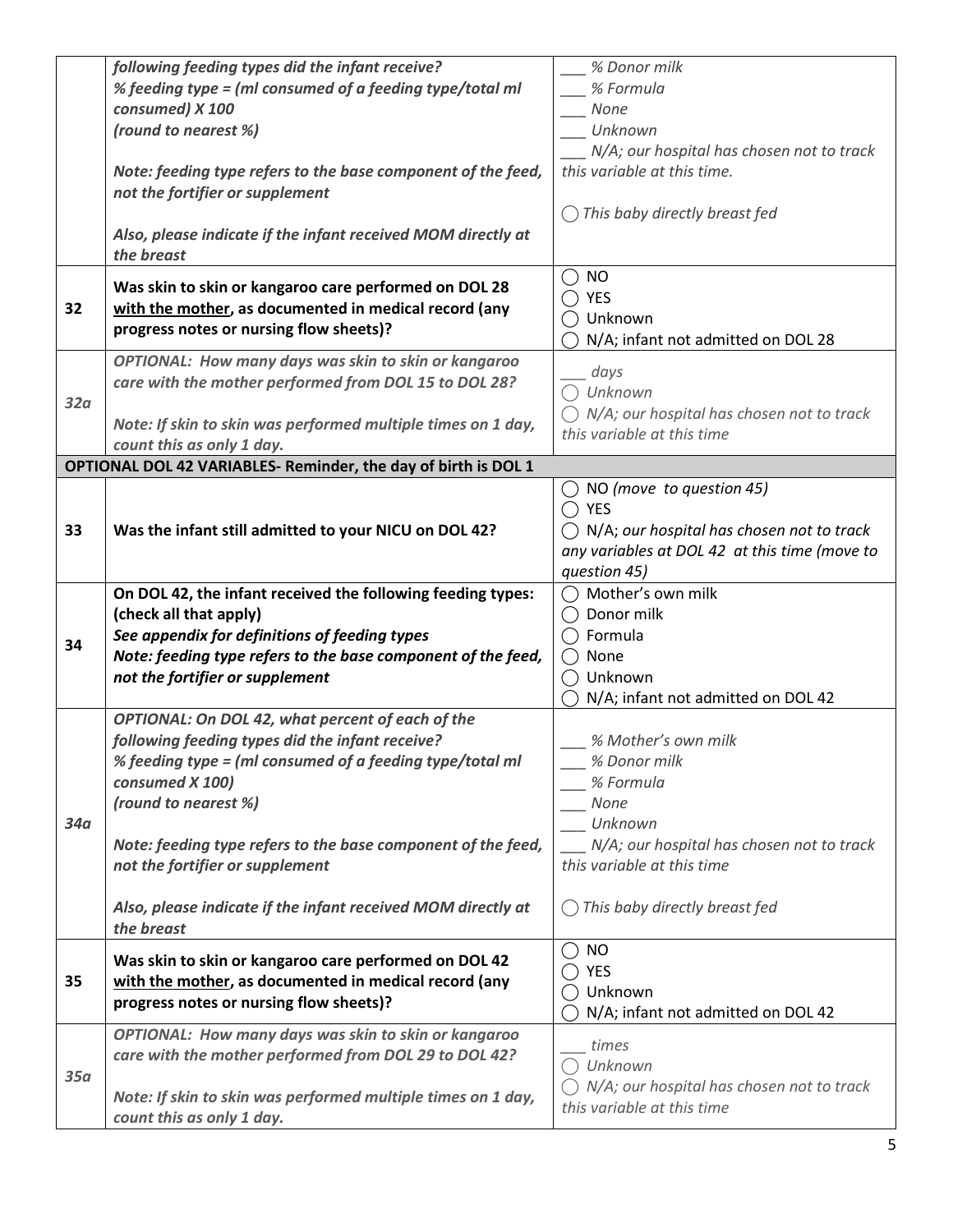|     | following feeding types did the infant receive?                                           | % Donor milk                                         |
|-----|-------------------------------------------------------------------------------------------|------------------------------------------------------|
|     | % feeding type = (ml consumed of a feeding type/total ml                                  | % Formula                                            |
|     | consumed) X 100                                                                           | None                                                 |
|     | (round to nearest %)                                                                      | Unknown                                              |
|     |                                                                                           |                                                      |
|     |                                                                                           | N/A; our hospital has chosen not to track            |
|     | Note: feeding type refers to the base component of the feed,                              | this variable at this time.                          |
|     | not the fortifier or supplement                                                           |                                                      |
|     |                                                                                           | $\bigcirc$ This baby directly breast fed             |
|     | Also, please indicate if the infant received MOM directly at                              |                                                      |
|     |                                                                                           |                                                      |
|     | the breast                                                                                |                                                      |
|     | Was skin to skin or kangaroo care performed on DOL 28                                     | <b>NO</b>                                            |
| 32  |                                                                                           | YES                                                  |
|     | with the mother, as documented in medical record (any                                     | ◯ Unknown                                            |
|     | progress notes or nursing flow sheets)?                                                   | N/A; infant not admitted on DOL 28                   |
|     | OPTIONAL: How many days was skin to skin or kangaroo                                      |                                                      |
|     |                                                                                           | days                                                 |
|     | care with the mother performed from DOL 15 to DOL 28?                                     | $\bigcap$ Unknown                                    |
| 32a |                                                                                           | $\bigcirc$ N/A; our hospital has chosen not to track |
|     | Note: If skin to skin was performed multiple times on 1 day,                              | this variable at this time                           |
|     | count this as only 1 day.                                                                 |                                                      |
|     | OPTIONAL DOL 42 VARIABLES- Reminder, the day of birth is DOL 1                            |                                                      |
|     |                                                                                           | $\bigcirc$ NO (move to question 45)                  |
|     |                                                                                           | $\bigcap$ YES                                        |
| 33  |                                                                                           |                                                      |
|     | Was the infant still admitted to your NICU on DOL 42?                                     | $\bigcirc$ N/A; our hospital has chosen not to track |
|     |                                                                                           | any variables at DOL 42 at this time (move to        |
|     |                                                                                           | question 45)                                         |
|     | On DOL 42, the infant received the following feeding types:                               | Mother's own milk                                    |
|     | (check all that apply)                                                                    | Donor milk                                           |
|     | See appendix for definitions of feeding types                                             | $\bigcirc$ Formula                                   |
| 34  | Note: feeding type refers to the base component of the feed,                              | $\bigcirc$ None                                      |
|     |                                                                                           |                                                      |
|     | not the fortifier or supplement                                                           | Unknown                                              |
|     |                                                                                           | N/A; infant not admitted on DOL 42                   |
|     | OPTIONAL: On DOL 42, what percent of each of the                                          |                                                      |
|     | following feeding types did the infant receive?                                           | % Mother's own milk                                  |
|     | % feeding type = (ml consumed of a feeding type/total ml                                  | % Donor milk                                         |
|     | consumed X 100)                                                                           | % Formula                                            |
|     |                                                                                           |                                                      |
|     | (round to nearest %)                                                                      | None                                                 |
| 34a |                                                                                           | Unknown                                              |
|     | Note: feeding type refers to the base component of the feed,                              | N/A; our hospital has chosen not to track            |
|     |                                                                                           |                                                      |
|     | not the fortifier or supplement                                                           | this variable at this time                           |
|     |                                                                                           |                                                      |
|     |                                                                                           |                                                      |
|     | Also, please indicate if the infant received MOM directly at                              | $\bigcap$ This baby directly breast fed              |
|     | the breast                                                                                |                                                      |
|     | Was skin to skin or kangaroo care performed on DOL 42                                     | <b>NO</b><br>( )                                     |
|     |                                                                                           | <b>YES</b>                                           |
| 35  | with the mother, as documented in medical record (any                                     | ◯ Unknown                                            |
|     | progress notes or nursing flow sheets)?                                                   | N/A; infant not admitted on DOL 42                   |
|     | OPTIONAL: How many days was skin to skin or kangaroo                                      |                                                      |
|     |                                                                                           | times                                                |
|     | care with the mother performed from DOL 29 to DOL 42?                                     | $\bigcap$ Unknown                                    |
| 35a |                                                                                           | N/A; our hospital has chosen not to track            |
|     | Note: If skin to skin was performed multiple times on 1 day,<br>count this as only 1 day. | this variable at this time                           |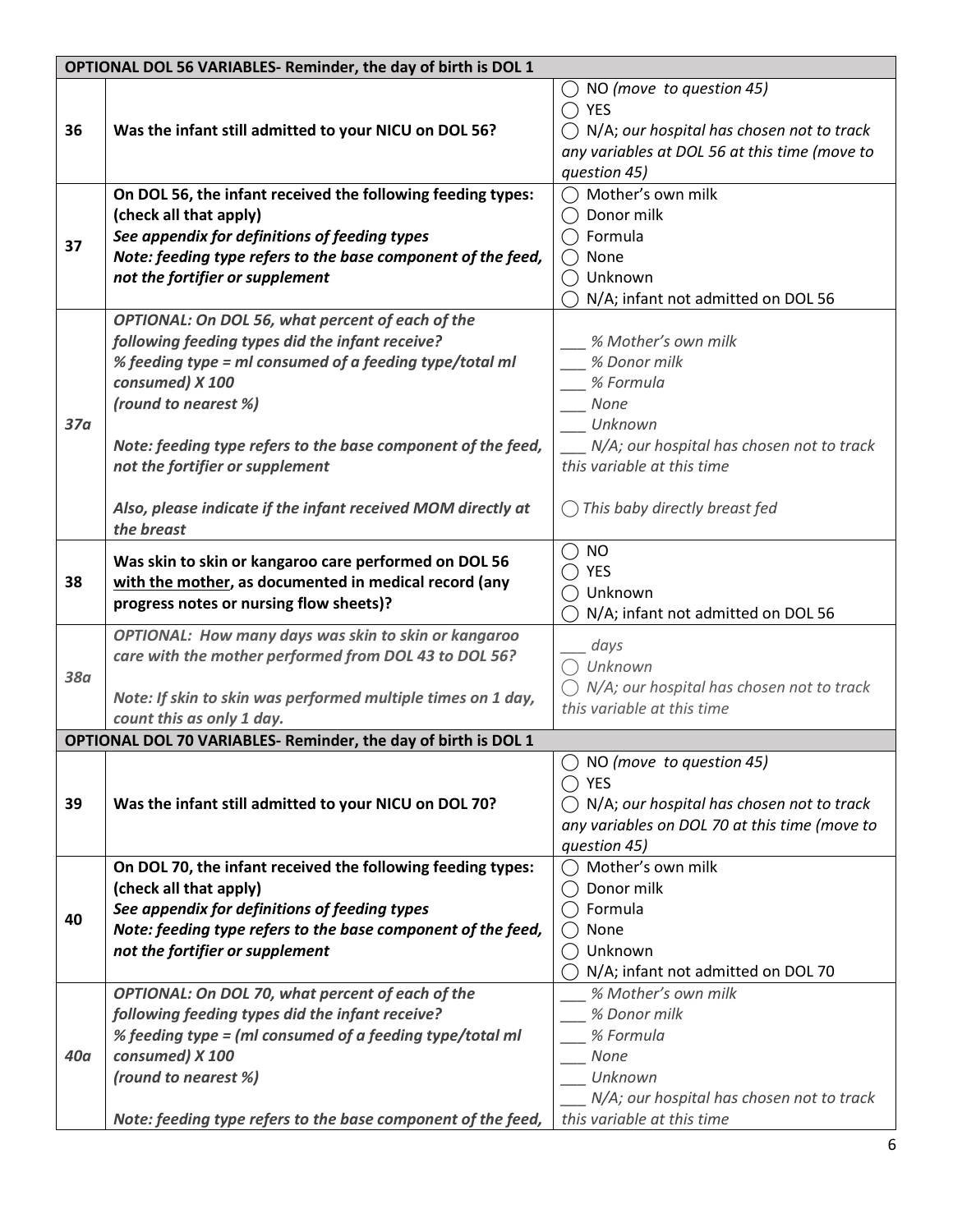| OPTIONAL DOL 56 VARIABLES- Reminder, the day of birth is DOL 1 |                                                                                                                                                                                                                                                                                                                                                                                            |                                                                                                                                                                                 |
|----------------------------------------------------------------|--------------------------------------------------------------------------------------------------------------------------------------------------------------------------------------------------------------------------------------------------------------------------------------------------------------------------------------------------------------------------------------------|---------------------------------------------------------------------------------------------------------------------------------------------------------------------------------|
| 36                                                             | Was the infant still admitted to your NICU on DOL 56?                                                                                                                                                                                                                                                                                                                                      | NO (move to question 45)<br>$\bigcap$ YES<br>$\bigcap N/A$ ; our hospital has chosen not to track<br>any variables at DOL 56 at this time (move to<br>question 45)              |
| 37                                                             | On DOL 56, the infant received the following feeding types:<br>(check all that apply)<br>See appendix for definitions of feeding types<br>Note: feeding type refers to the base component of the feed,<br>not the fortifier or supplement                                                                                                                                                  | Mother's own milk<br>Donor milk<br>$\bigcap$ Formula<br>None<br>Unknown<br>N/A; infant not admitted on DOL 56                                                                   |
| 37 <sub>a</sub>                                                | OPTIONAL: On DOL 56, what percent of each of the<br>following feeding types did the infant receive?<br>% feeding type = ml consumed of a feeding type/total ml<br>consumed) X 100<br>(round to nearest %)<br>Note: feeding type refers to the base component of the feed,<br>not the fortifier or supplement<br>Also, please indicate if the infant received MOM directly at<br>the breast | % Mother's own milk<br>% Donor milk<br>% Formula<br>None<br>Unknown<br>N/A; our hospital has chosen not to track<br>this variable at this time<br>This baby directly breast fed |
| 38                                                             | Was skin to skin or kangaroo care performed on DOL 56<br>with the mother, as documented in medical record (any<br>progress notes or nursing flow sheets)?                                                                                                                                                                                                                                  | $\bigcirc$ No<br>$\bigcirc$ yes<br>◯ Unknown<br>N/A; infant not admitted on DOL 56                                                                                              |
| <b>38a</b>                                                     | OPTIONAL: How many days was skin to skin or kangaroo<br>care with the mother performed from DOL 43 to DOL 56?<br>Note: If skin to skin was performed multiple times on 1 day,<br>count this as only 1 day.                                                                                                                                                                                 | days<br>$\bigcap$ Unknown<br>N/A; our hospital has chosen not to track<br>this variable at this time                                                                            |
|                                                                | OPTIONAL DOL 70 VARIABLES- Reminder, the day of birth is DOL 1                                                                                                                                                                                                                                                                                                                             |                                                                                                                                                                                 |
| 39                                                             | Was the infant still admitted to your NICU on DOL 70?                                                                                                                                                                                                                                                                                                                                      | $\bigcirc$ NO (move to question 45)<br><b>YES</b><br>$\bigcap N/A$ ; our hospital has chosen not to track<br>any variables on DOL 70 at this time (move to<br>question 45)      |
| 40                                                             | On DOL 70, the infant received the following feeding types:<br>(check all that apply)<br>See appendix for definitions of feeding types<br>Note: feeding type refers to the base component of the feed,<br>not the fortifier or supplement                                                                                                                                                  | Mother's own milk<br>Donor milk<br>$\bigcap$ Formula<br>None<br>Unknown<br>N/A; infant not admitted on DOL 70                                                                   |
| <b>40a</b>                                                     | OPTIONAL: On DOL 70, what percent of each of the<br>following feeding types did the infant receive?<br>% feeding type = (ml consumed of a feeding type/total ml<br>consumed) X 100<br>(round to nearest %)<br>Note: feeding type refers to the base component of the feed,                                                                                                                 | % Mother's own milk<br>% Donor milk<br>% Formula<br>None<br>Unknown<br>N/A; our hospital has chosen not to track<br>this variable at this time                                  |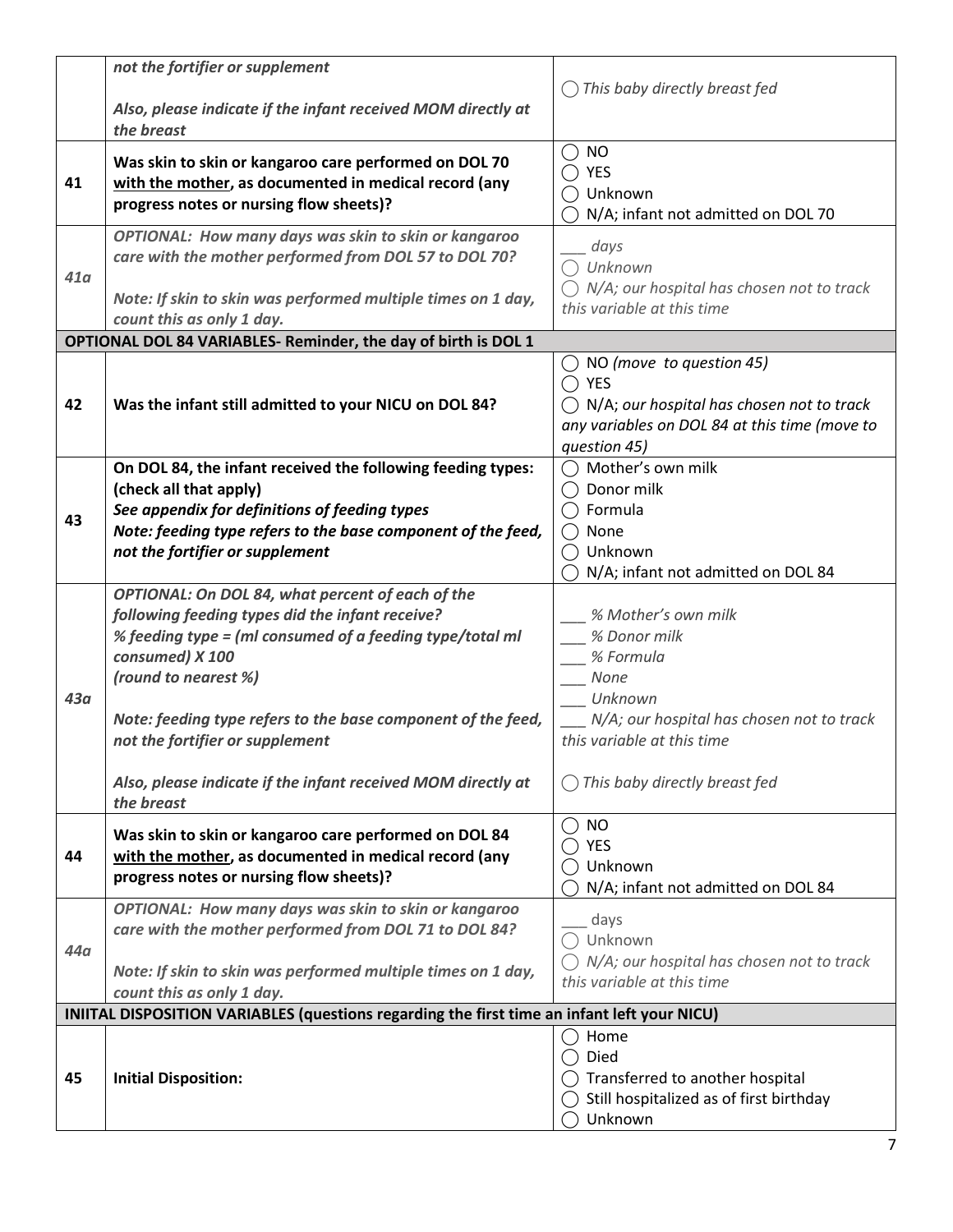|     | not the fortifier or supplement                                                             |                                                      |
|-----|---------------------------------------------------------------------------------------------|------------------------------------------------------|
|     |                                                                                             | This baby directly breast fed                        |
|     | Also, please indicate if the infant received MOM directly at                                |                                                      |
|     | the breast                                                                                  |                                                      |
|     | Was skin to skin or kangaroo care performed on DOL 70                                       | $\bigcirc$ NO                                        |
| 41  | with the mother, as documented in medical record (any                                       | $\bigcap$ YES                                        |
|     | progress notes or nursing flow sheets)?                                                     | Unknown                                              |
|     |                                                                                             | N/A; infant not admitted on DOL 70                   |
|     | OPTIONAL: How many days was skin to skin or kangaroo                                        | days                                                 |
|     | care with the mother performed from DOL 57 to DOL 70?                                       | Unknown                                              |
| 41a |                                                                                             | $\bigcirc$ N/A; our hospital has chosen not to track |
|     | Note: If skin to skin was performed multiple times on 1 day,                                | this variable at this time                           |
|     | count this as only 1 day.                                                                   |                                                      |
|     | OPTIONAL DOL 84 VARIABLES- Reminder, the day of birth is DOL 1                              |                                                      |
|     |                                                                                             | $\bigcirc$ NO (move to question 45)                  |
|     |                                                                                             | $\bigcap$ YES                                        |
| 42  | Was the infant still admitted to your NICU on DOL 84?                                       | $\bigcap N/A$ ; our hospital has chosen not to track |
|     |                                                                                             | any variables on DOL 84 at this time (move to        |
|     |                                                                                             | question 45)                                         |
|     | On DOL 84, the infant received the following feeding types:                                 | ◯ Mother's own milk                                  |
|     | (check all that apply)                                                                      | Donor milk                                           |
| 43  | See appendix for definitions of feeding types                                               | Formula                                              |
|     | Note: feeding type refers to the base component of the feed,                                | None                                                 |
|     | not the fortifier or supplement                                                             | Unknown                                              |
|     |                                                                                             | N/A; infant not admitted on DOL 84                   |
|     | OPTIONAL: On DOL 84, what percent of each of the                                            |                                                      |
|     | following feeding types did the infant receive?                                             | % Mother's own milk                                  |
|     | % feeding type = (ml consumed of a feeding type/total ml                                    | % Donor milk                                         |
|     | consumed) X 100                                                                             | % Formula                                            |
|     | (round to nearest %)                                                                        | None                                                 |
| 43a |                                                                                             | Unknown                                              |
|     | Note: feeding type refers to the base component of the feed,                                | N/A; our hospital has chosen not to track            |
|     | not the fortifier or supplement                                                             | this variable at this time                           |
|     |                                                                                             |                                                      |
|     | Also, please indicate if the infant received MOM directly at<br>the breast                  | This baby directly breast fed                        |
|     |                                                                                             |                                                      |
|     | Was skin to skin or kangaroo care performed on DOL 84                                       | $\bigcirc$ NO<br>YES                                 |
| 44  | with the mother, as documented in medical record (any                                       | ◯ Unknown                                            |
|     | progress notes or nursing flow sheets)?                                                     | N/A; infant not admitted on DOL 84                   |
|     | OPTIONAL: How many days was skin to skin or kangaroo                                        |                                                      |
|     |                                                                                             | days                                                 |
|     |                                                                                             |                                                      |
|     | care with the mother performed from DOL 71 to DOL 84?                                       | Unknown                                              |
| 44a |                                                                                             | $\bigcirc$ N/A; our hospital has chosen not to track |
|     | Note: If skin to skin was performed multiple times on 1 day,                                | this variable at this time                           |
|     | count this as only 1 day.                                                                   |                                                      |
|     | INIITAL DISPOSITION VARIABLES (questions regarding the first time an infant left your NICU) |                                                      |
|     |                                                                                             | Home                                                 |
|     |                                                                                             | Died                                                 |
| 45  | <b>Initial Disposition:</b>                                                                 | $\bigcirc$ Transferred to another hospital           |
|     |                                                                                             | Still hospitalized as of first birthday<br>Unknown   |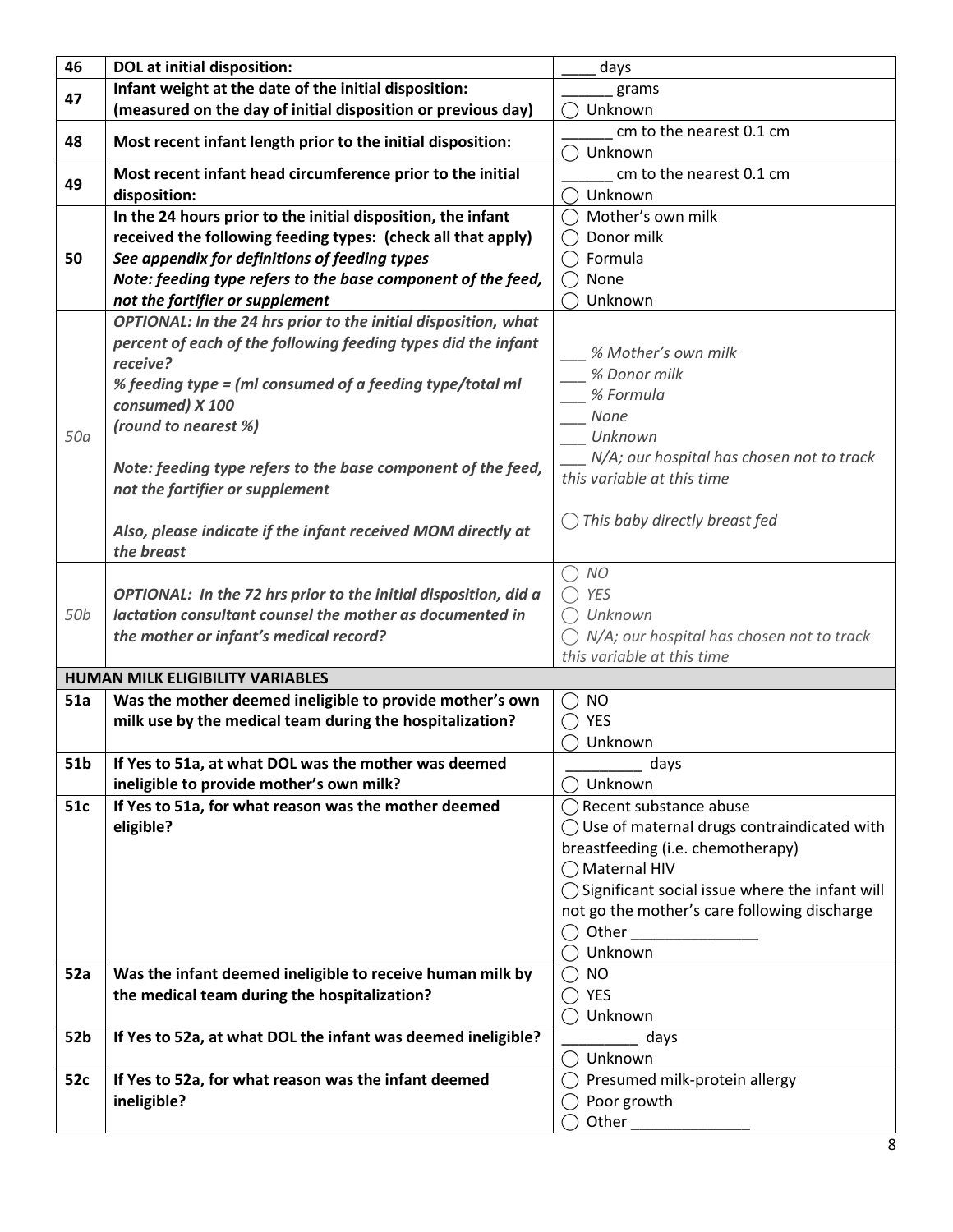| 46              | <b>DOL</b> at initial disposition:                              | days                                                      |
|-----------------|-----------------------------------------------------------------|-----------------------------------------------------------|
| 47              | Infant weight at the date of the initial disposition:           | grams                                                     |
|                 | (measured on the day of initial disposition or previous day)    | Unknown                                                   |
| 48              | Most recent infant length prior to the initial disposition:     | cm to the nearest 0.1 cm                                  |
|                 |                                                                 | Unknown                                                   |
| 49              | Most recent infant head circumference prior to the initial      | cm to the nearest 0.1 cm                                  |
|                 | disposition:                                                    | Unknown                                                   |
|                 | In the 24 hours prior to the initial disposition, the infant    | ◯ Mother's own milk                                       |
|                 | received the following feeding types: (check all that apply)    | Donor milk                                                |
| 50              | See appendix for definitions of feeding types                   | Formula                                                   |
|                 | Note: feeding type refers to the base component of the feed,    | None                                                      |
|                 | not the fortifier or supplement                                 | Unknown                                                   |
|                 | OPTIONAL: In the 24 hrs prior to the initial disposition, what  |                                                           |
|                 | percent of each of the following feeding types did the infant   | % Mother's own milk                                       |
|                 | receive?                                                        | % Donor milk                                              |
|                 | % feeding type = (ml consumed of a feeding type/total ml        | % Formula                                                 |
|                 | consumed) X 100                                                 | None                                                      |
| 50a             | (round to nearest %)                                            | Unknown                                                   |
|                 |                                                                 | N/A; our hospital has chosen not to track                 |
|                 | Note: feeding type refers to the base component of the feed,    | this variable at this time                                |
|                 | not the fortifier or supplement                                 |                                                           |
|                 |                                                                 | This baby directly breast fed                             |
|                 | Also, please indicate if the infant received MOM directly at    |                                                           |
|                 | the breast                                                      |                                                           |
|                 |                                                                 | <b>NO</b><br>( )                                          |
|                 | OPTIONAL: In the 72 hrs prior to the initial disposition, did a | <b>YES</b>                                                |
| 50 <sub>b</sub> | lactation consultant counsel the mother as documented in        | $\bigcap$ Unknown                                         |
|                 | the mother or infant's medical record?                          | $\bigcirc$ N/A; our hospital has chosen not to track      |
|                 |                                                                 | this variable at this time                                |
|                 | <b>HUMAN MILK ELIGIBILITY VARIABLES</b>                         |                                                           |
| 51a             | Was the mother deemed ineligible to provide mother's own        | <b>NO</b><br>( )                                          |
|                 | milk use by the medical team during the hospitalization?        | YES                                                       |
|                 |                                                                 | Unknown                                                   |
| 51b             | If Yes to 51a, at what DOL was the mother was deemed            | days                                                      |
|                 | ineligible to provide mother's own milk?                        | $\bigcap$ Unknown                                         |
| 51c             | If Yes to 51a, for what reason was the mother deemed            | ◯ Recent substance abuse                                  |
|                 | eligible?                                                       | $\bigcirc$ Use of maternal drugs contraindicated with     |
|                 |                                                                 | breastfeeding (i.e. chemotherapy)                         |
|                 |                                                                 | ◯ Maternal HIV                                            |
|                 |                                                                 | $\bigcirc$ Significant social issue where the infant will |
|                 |                                                                 | not go the mother's care following discharge              |
|                 |                                                                 | $\bigcirc$ Other and $\bigcirc$                           |
|                 |                                                                 | ◯ Unknown                                                 |
| 52a             | Was the infant deemed ineligible to receive human milk by       | <b>NO</b><br>$\bigcirc$                                   |
|                 | the medical team during the hospitalization?                    | YES                                                       |
|                 |                                                                 | Unknown                                                   |
| 52b             | If Yes to 52a, at what DOL the infant was deemed ineligible?    | days                                                      |
|                 |                                                                 | Unknown                                                   |
| 52c             | If Yes to 52a, for what reason was the infant deemed            | Presumed milk-protein allergy                             |
|                 | ineligible?                                                     | $\bigcirc$ Poor growth                                    |
|                 |                                                                 | Other                                                     |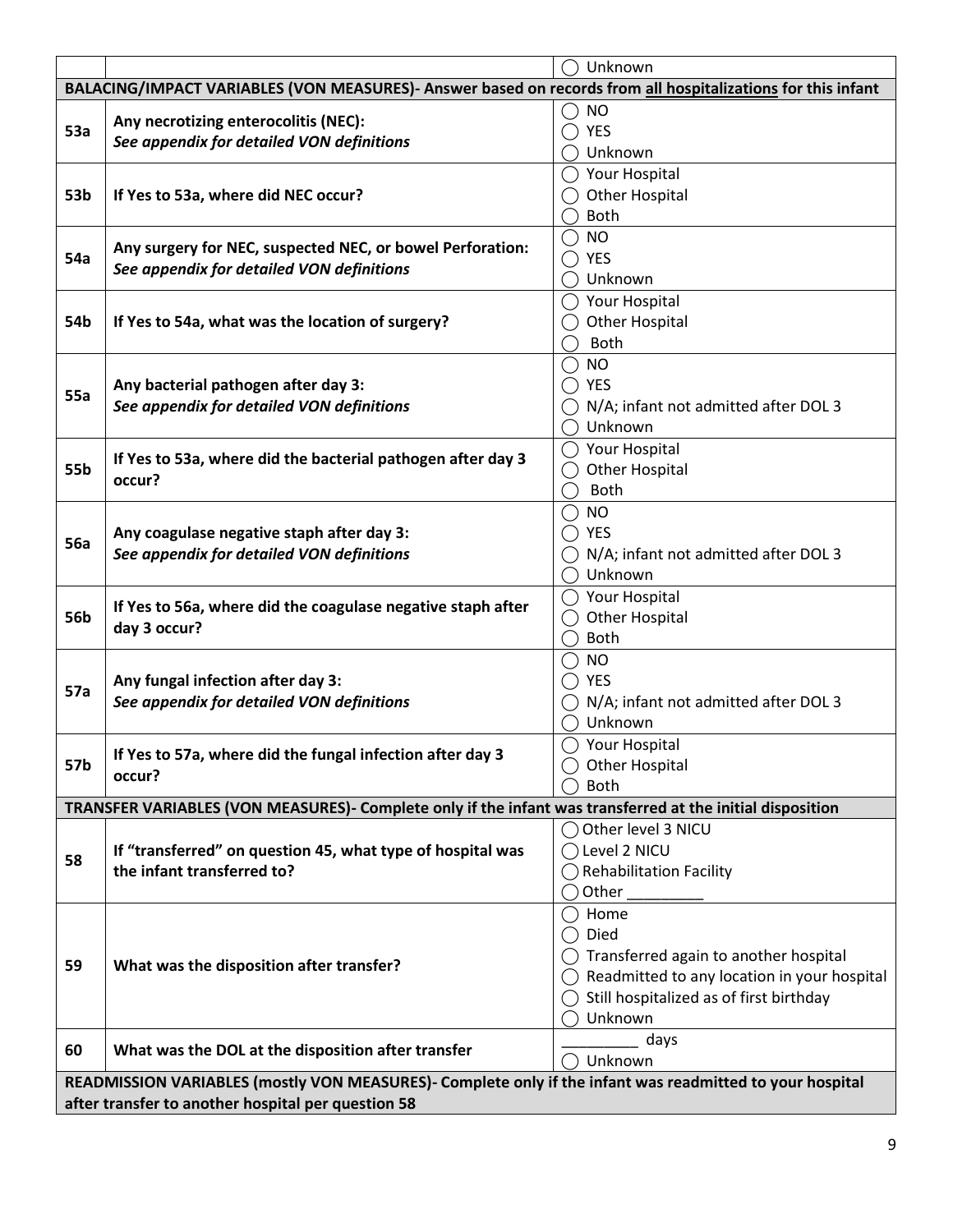|                                                                                                             |                                                                                                           | Unknown                                                |  |  |
|-------------------------------------------------------------------------------------------------------------|-----------------------------------------------------------------------------------------------------------|--------------------------------------------------------|--|--|
| BALACING/IMPACT VARIABLES (VON MEASURES)- Answer based on records from all hospitalizations for this infant |                                                                                                           |                                                        |  |  |
|                                                                                                             |                                                                                                           | NO                                                     |  |  |
| <b>53a</b>                                                                                                  | Any necrotizing enterocolitis (NEC):                                                                      | <b>YES</b>                                             |  |  |
|                                                                                                             | See appendix for detailed VON definitions                                                                 | Unknown                                                |  |  |
|                                                                                                             |                                                                                                           | Your Hospital                                          |  |  |
| 53b                                                                                                         | If Yes to 53a, where did NEC occur?                                                                       | <b>Other Hospital</b>                                  |  |  |
|                                                                                                             |                                                                                                           | <b>Both</b>                                            |  |  |
|                                                                                                             |                                                                                                           | <b>NO</b>                                              |  |  |
| 54a                                                                                                         | Any surgery for NEC, suspected NEC, or bowel Perforation:                                                 | <b>YES</b>                                             |  |  |
|                                                                                                             | See appendix for detailed VON definitions                                                                 | Unknown                                                |  |  |
|                                                                                                             |                                                                                                           | $\bigcirc$ Your Hospital                               |  |  |
| 54b                                                                                                         | If Yes to 54a, what was the location of surgery?                                                          | <b>Other Hospital</b>                                  |  |  |
|                                                                                                             |                                                                                                           | Both                                                   |  |  |
|                                                                                                             |                                                                                                           | <b>NO</b>                                              |  |  |
|                                                                                                             | Any bacterial pathogen after day 3:                                                                       | YES                                                    |  |  |
| 55a                                                                                                         | See appendix for detailed VON definitions                                                                 | N/A; infant not admitted after DOL 3                   |  |  |
|                                                                                                             |                                                                                                           | Unknown                                                |  |  |
|                                                                                                             |                                                                                                           | $\bigcirc$ Your Hospital                               |  |  |
| 55b                                                                                                         | If Yes to 53a, where did the bacterial pathogen after day 3                                               | <b>Other Hospital</b>                                  |  |  |
|                                                                                                             | occur?                                                                                                    | <b>Both</b>                                            |  |  |
|                                                                                                             |                                                                                                           | <b>NO</b><br>$($ )                                     |  |  |
|                                                                                                             | Any coagulase negative staph after day 3:<br>See appendix for detailed VON definitions                    | <b>YES</b>                                             |  |  |
| <b>56a</b>                                                                                                  |                                                                                                           | N/A; infant not admitted after DOL 3                   |  |  |
|                                                                                                             |                                                                                                           | Unknown                                                |  |  |
|                                                                                                             |                                                                                                           | Your Hospital                                          |  |  |
| 56b                                                                                                         | If Yes to 56a, where did the coagulase negative staph after                                               | <b>Other Hospital</b>                                  |  |  |
|                                                                                                             | day 3 occur?                                                                                              | <b>Both</b>                                            |  |  |
|                                                                                                             |                                                                                                           | <b>NO</b><br>$($ )                                     |  |  |
|                                                                                                             | Any fungal infection after day 3:                                                                         | <b>YES</b>                                             |  |  |
| 57a                                                                                                         | See appendix for detailed VON definitions                                                                 | N/A; infant not admitted after DOL 3                   |  |  |
|                                                                                                             |                                                                                                           | Unknown                                                |  |  |
|                                                                                                             |                                                                                                           | Your Hospital                                          |  |  |
| 57b                                                                                                         | If Yes to 57a, where did the fungal infection after day 3                                                 | <b>Other Hospital</b>                                  |  |  |
|                                                                                                             | occur?                                                                                                    | <b>Both</b>                                            |  |  |
|                                                                                                             | TRANSFER VARIABLES (VON MEASURES)- Complete only if the infant was transferred at the initial disposition |                                                        |  |  |
|                                                                                                             |                                                                                                           | Other level 3 NICU                                     |  |  |
|                                                                                                             | If "transferred" on question 45, what type of hospital was                                                | Level 2 NICU                                           |  |  |
| 58                                                                                                          | the infant transferred to?                                                                                | <b>Rehabilitation Facility</b>                         |  |  |
|                                                                                                             |                                                                                                           | Other                                                  |  |  |
|                                                                                                             |                                                                                                           | Home                                                   |  |  |
|                                                                                                             |                                                                                                           | Died                                                   |  |  |
|                                                                                                             |                                                                                                           | $\bigcirc$ Transferred again to another hospital       |  |  |
| 59                                                                                                          | What was the disposition after transfer?                                                                  | $\bigcirc$ Readmitted to any location in your hospital |  |  |
|                                                                                                             |                                                                                                           | Still hospitalized as of first birthday                |  |  |
|                                                                                                             |                                                                                                           | Unknown                                                |  |  |
|                                                                                                             |                                                                                                           | days                                                   |  |  |
| 60                                                                                                          | What was the DOL at the disposition after transfer                                                        | Unknown                                                |  |  |
|                                                                                                             | READMISSION VARIABLES (mostly VON MEASURES)- Complete only if the infant was readmitted to your hospital  |                                                        |  |  |
| after transfer to another hospital per question 58                                                          |                                                                                                           |                                                        |  |  |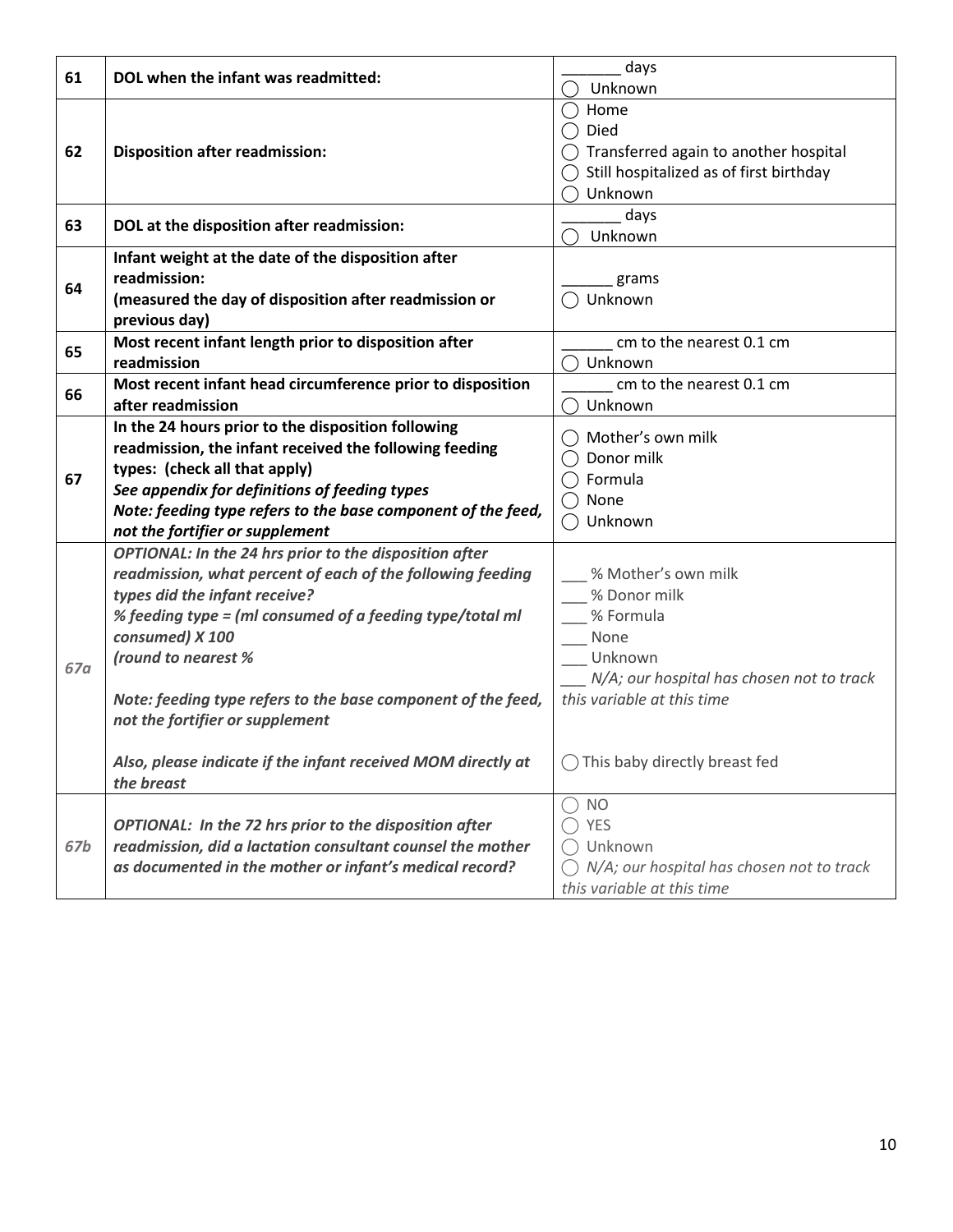| 61  | DOL when the infant was readmitted:                          | days                                             |
|-----|--------------------------------------------------------------|--------------------------------------------------|
|     |                                                              | Unknown                                          |
|     |                                                              | Home                                             |
| 62  | <b>Disposition after readmission:</b>                        | Died                                             |
|     |                                                              | $\bigcirc$ Transferred again to another hospital |
|     |                                                              | Still hospitalized as of first birthday          |
|     |                                                              | Unknown                                          |
|     |                                                              | days                                             |
| 63  | DOL at the disposition after readmission:                    | Unknown                                          |
| 64  | Infant weight at the date of the disposition after           |                                                  |
|     | readmission:                                                 | grams                                            |
|     | (measured the day of disposition after readmission or        | Unknown                                          |
|     | previous day)                                                |                                                  |
| 65  | Most recent infant length prior to disposition after         | cm to the nearest 0.1 cm                         |
|     | readmission                                                  | Unknown                                          |
| 66  | Most recent infant head circumference prior to disposition   | cm to the nearest 0.1 cm                         |
|     | after readmission                                            | Unknown                                          |
| 67  | In the 24 hours prior to the disposition following           | Mother's own milk                                |
|     | readmission, the infant received the following feeding       | Donor milk                                       |
|     | types: (check all that apply)                                | Formula                                          |
|     | See appendix for definitions of feeding types                | None                                             |
|     | Note: feeding type refers to the base component of the feed, | ◯ Unknown                                        |
|     | not the fortifier or supplement                              |                                                  |
|     | OPTIONAL: In the 24 hrs prior to the disposition after       |                                                  |
|     | readmission, what percent of each of the following feeding   | % Mother's own milk                              |
|     | types did the infant receive?                                | % Donor milk                                     |
|     | % feeding type = (ml consumed of a feeding type/total ml     | % Formula                                        |
| 67a | consumed) X 100                                              | None                                             |
|     | (round to nearest %                                          | Unknown                                          |
|     |                                                              | N/A; our hospital has chosen not to track        |
|     | Note: feeding type refers to the base component of the feed, | this variable at this time                       |
|     | not the fortifier or supplement                              |                                                  |
|     |                                                              |                                                  |
|     | Also, please indicate if the infant received MOM directly at | $\bigcap$ This baby directly breast fed          |
|     | the breast                                                   |                                                  |
| 67b |                                                              | $\bigcirc$ NO                                    |
|     | OPTIONAL: In the 72 hrs prior to the disposition after       | YES                                              |
|     | readmission, did a lactation consultant counsel the mother   | Unknown                                          |
|     | as documented in the mother or infant's medical record?      | N/A; our hospital has chosen not to track        |
|     |                                                              | this variable at this time                       |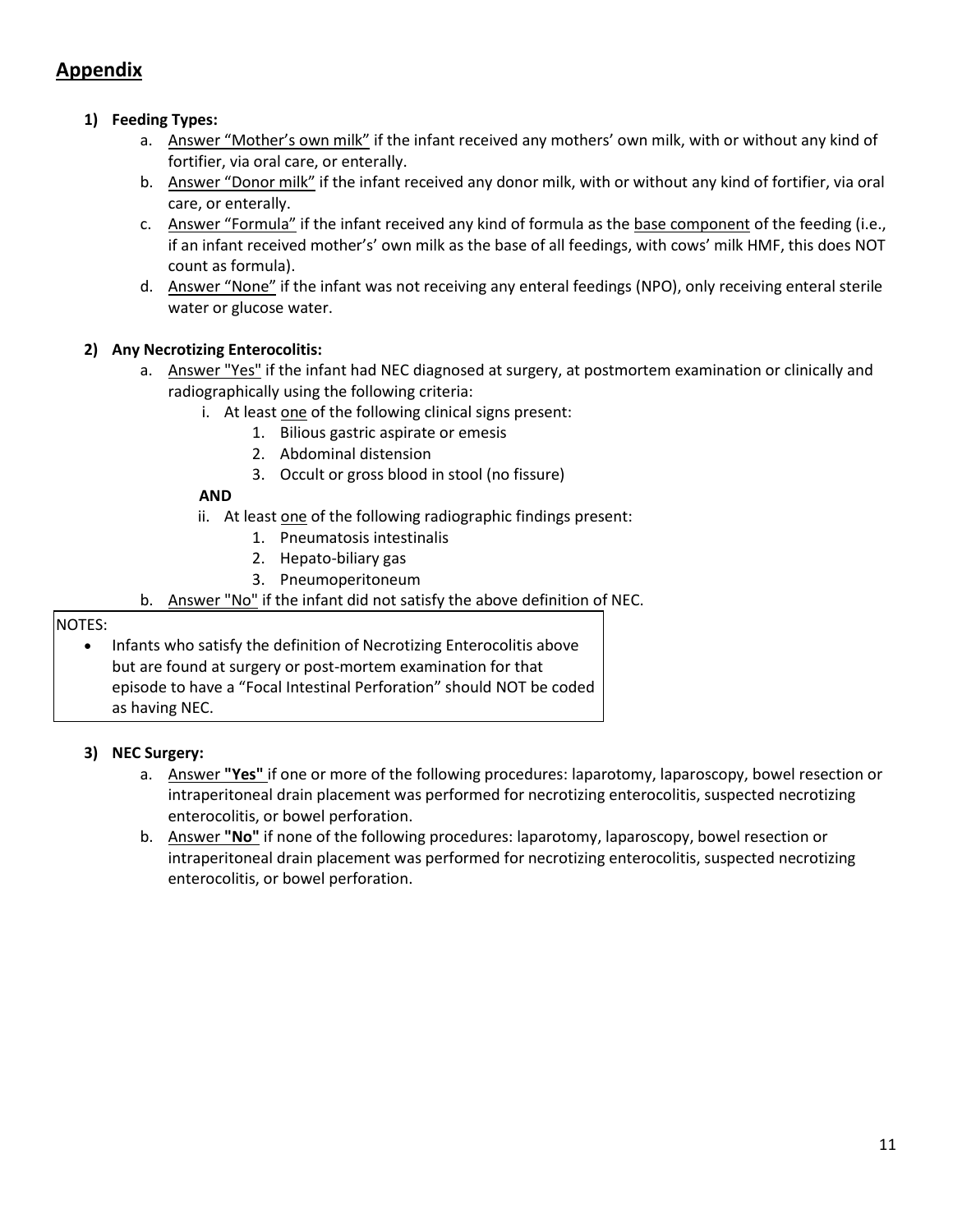# **Appendix**

# **1) Feeding Types:**

- a. Answer "Mother's own milk" if the infant received any mothers' own milk, with or without any kind of fortifier, via oral care, or enterally.
- b. Answer "Donor milk" if the infant received any donor milk, with or without any kind of fortifier, via oral care, or enterally.
- c. Answer "Formula" if the infant received any kind of formula as the base component of the feeding (i.e., if an infant received mother's' own milk as the base of all feedings, with cows' milk HMF, this does NOT count as formula).
- d. Answer "None" if the infant was not receiving any enteral feedings (NPO), only receiving enteral sterile water or glucose water.

## **2) Any Necrotizing Enterocolitis:**

- a. Answer "Yes" if the infant had NEC diagnosed at surgery, at postmortem examination or clinically and radiographically using the following criteria:
	- i. At least one of the following clinical signs present:
		- 1. Bilious gastric aspirate or emesis
		- 2. Abdominal distension
		- 3. Occult or gross blood in stool (no fissure)

### **AND**

- ii. At least one of the following radiographic findings present:
	- 1. Pneumatosis intestinalis
	- 2. Hepato-biliary gas
	- 3. Pneumoperitoneum
- b. Answer "No" if the infant did not satisfy the above definition of NEC.

### NOTES:

• Infants who satisfy the definition of Necrotizing Enterocolitis above but are found at surgery or post-mortem examination for that episode to have a "Focal Intestinal Perforation" should NOT be coded as having NEC.

## **3) NEC Surgery:**

- a. Answer **"Yes"** if one or more of the following procedures: laparotomy, laparoscopy, bowel resection or intraperitoneal drain placement was performed for necrotizing enterocolitis, suspected necrotizing enterocolitis, or bowel perforation.
- b. Answer **"No"** if none of the following procedures: laparotomy, laparoscopy, bowel resection or intraperitoneal drain placement was performed for necrotizing enterocolitis, suspected necrotizing enterocolitis, or bowel perforation.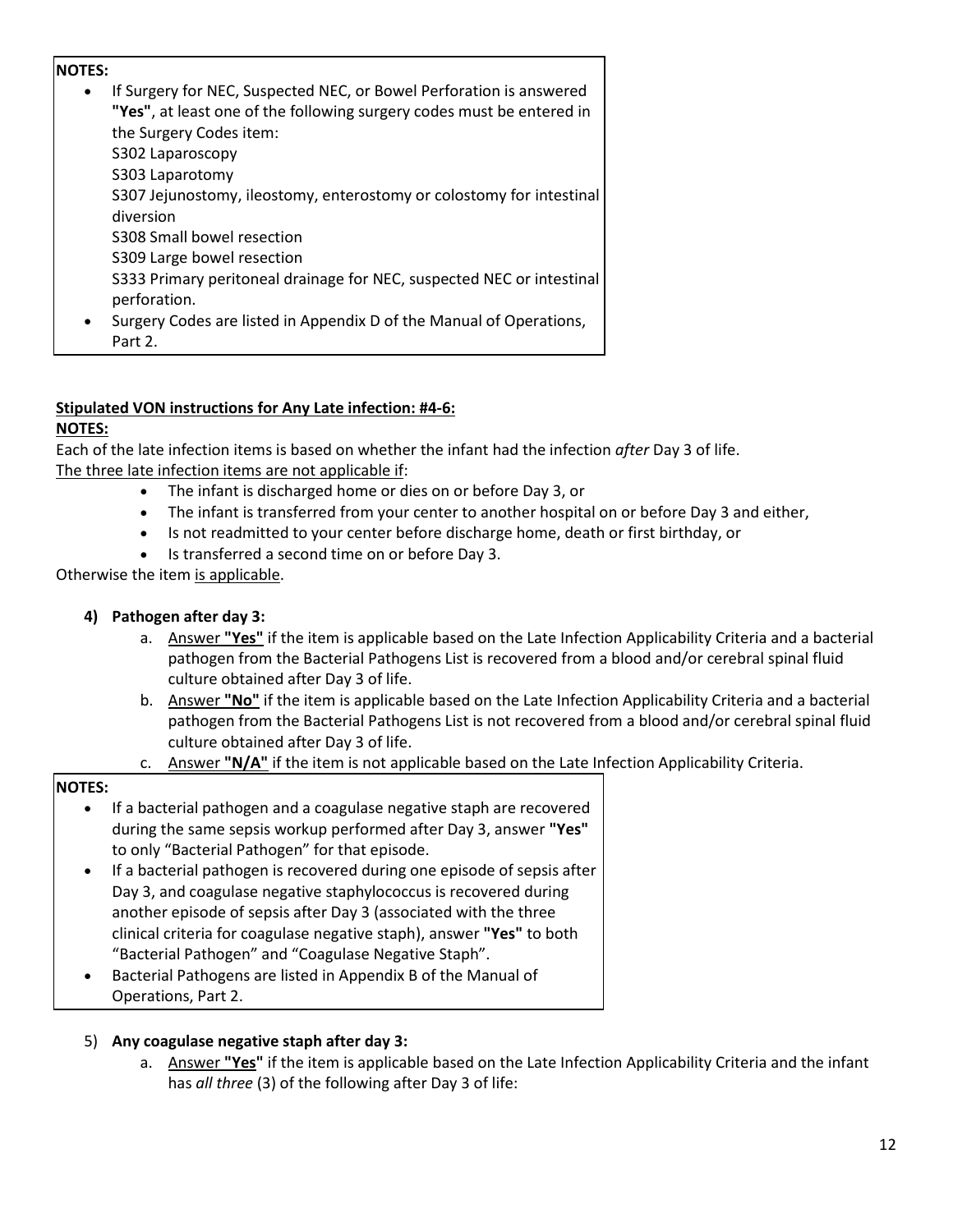### **NOTES:**

|           | If Surgery for NEC, Suspected NEC, or Bowel Perforation is answered<br>"Yes", at least one of the following surgery codes must be entered in |
|-----------|----------------------------------------------------------------------------------------------------------------------------------------------|
|           | the Surgery Codes item:                                                                                                                      |
|           | S302 Laparoscopy                                                                                                                             |
|           | S303 Laparotomy                                                                                                                              |
|           | S307 Jejunostomy, ileostomy, enterostomy or colostomy for intestinal                                                                         |
|           | diversion                                                                                                                                    |
|           | S308 Small bowel resection                                                                                                                   |
|           | S309 Large bowel resection                                                                                                                   |
|           | S333 Primary peritoneal drainage for NEC, suspected NEC or intestinal<br>perforation.                                                        |
| $\bullet$ | Surgery Codes are listed in Appendix D of the Manual of Operations,                                                                          |
|           | Part 2.                                                                                                                                      |

### **Stipulated VON instructions for Any Late infection: #4-6:**

### **NOTES:**

Each of the late infection items is based on whether the infant had the infection *after* Day 3 of life. The three late infection items are not applicable if:

- The infant is discharged home or dies on or before Day 3, or
- The infant is transferred from your center to another hospital on or before Day 3 and either,
- Is not readmitted to your center before discharge home, death or first birthday, or
- Is transferred a second time on or before Day 3.

Otherwise the item is applicable.

### **4) Pathogen after day 3:**

- a. Answer **"Yes"** if the item is applicable based on the Late Infection Applicability Criteria and a bacterial pathogen from the Bacterial Pathogens List is recovered from a blood and/or cerebral spinal fluid culture obtained after Day 3 of life.
- b. Answer **"No"** if the item is applicable based on the Late Infection Applicability Criteria and a bacterial pathogen from the Bacterial Pathogens List is not recovered from a blood and/or cerebral spinal fluid culture obtained after Day 3 of life.
- c. Answer **"N/A"** if the item is not applicable based on the Late Infection Applicability Criteria.

#### **NOTES:**

- If a bacterial pathogen and a coagulase negative staph are recovered during the same sepsis workup performed after Day 3, answer **"Yes"** to only "Bacterial Pathogen" for that episode.
- If a bacterial pathogen is recovered during one episode of sepsis after Day 3, and coagulase negative staphylococcus is recovered during another episode of sepsis after Day 3 (associated with the three clinical criteria for coagulase negative staph), answer **"Yes"** to both "Bacterial Pathogen" and "Coagulase Negative Staph".
- Bacterial Pathogens are listed in Appendix B of the Manual of Operations, Part 2.

## 5) **Any coagulase negative staph after day 3:**

a. Answer **"Yes"** if the item is applicable based on the Late Infection Applicability Criteria and the infant has *all three* (3) of the following after Day 3 of life: